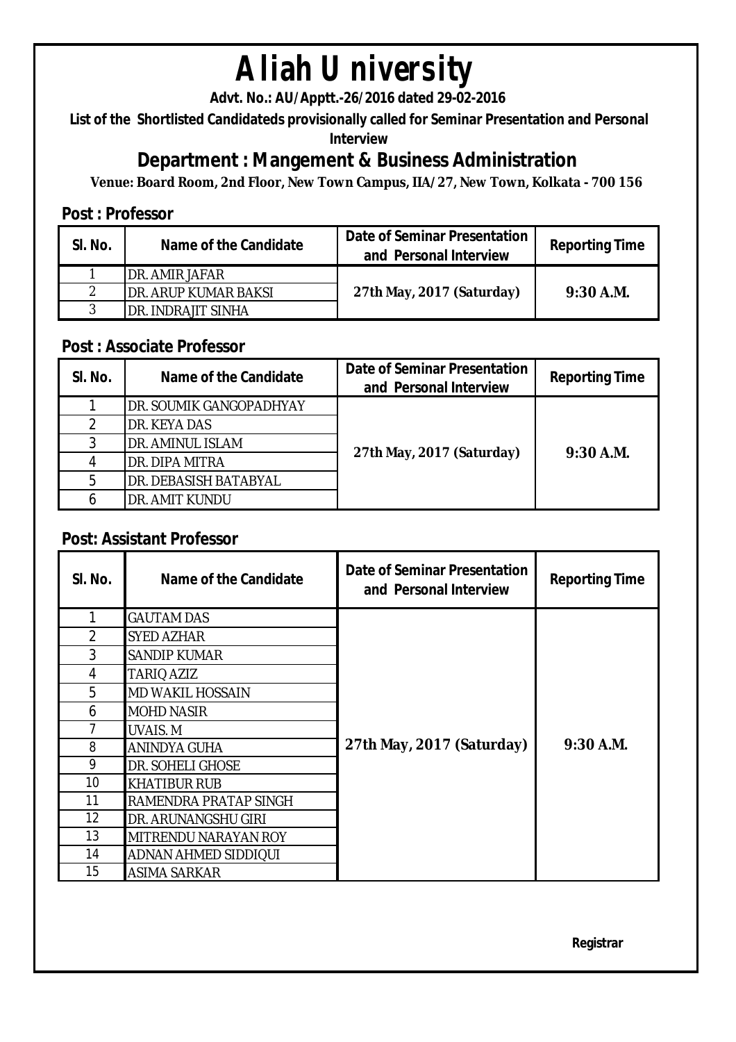# **Aliah University**

**Advt. No.: AU/Apptt.-26/2016 dated 29-02-2016** 

**List of the Shortlisted Candidateds provisionally called for Seminar Presentation and Personal** 

**Interview**

## **Department : Mangement & Business Administration**

**Venue: Board Room, 2nd Floor, New Town Campus, IIA/27, New Town, Kolkata - 700 156**

### **Post : Professor**

| SI. No. | Name of the Candidate        | <b>Date of Seminar Presentation</b><br>and Personal Interview | <b>Reporting Time</b> |
|---------|------------------------------|---------------------------------------------------------------|-----------------------|
|         | IDR. AMIR JAFAR              |                                                               |                       |
| ◠       | <b>IDR. ARUP KUMAR BAKSI</b> | 27th May, 2017 (Saturday)                                     | $9:30$ A.M.           |
| 3       | IDR. INDRAJIT SINHA          |                                                               |                       |

### **Post : Associate Professor**

| SI. No. | Name of the Candidate   | <b>Date of Seminar Presentation</b><br>and Personal Interview | <b>Reporting Time</b> |
|---------|-------------------------|---------------------------------------------------------------|-----------------------|
|         | DR. SOUMIK GANGOPADHYAY | 27th May, 2017 (Saturday)                                     | $9:30$ A.M.           |
|         | DR. KEYA DAS            |                                                               |                       |
| 3       | DR. AMINUL ISLAM        |                                                               |                       |
|         | DR. DIPA MITRA          |                                                               |                       |
| 5       | DR. DEBASISH BATABYAL   |                                                               |                       |
| 6       | DR. AMIT KUNDU          |                                                               |                       |

## **Post: Assistant Professor**

| SI. No. | Name of the Candidate       | Date of Seminar Presentation<br>and Personal Interview | <b>Reporting Time</b> |
|---------|-----------------------------|--------------------------------------------------------|-----------------------|
|         | <b>GAUTAM DAS</b>           |                                                        |                       |
| 2       | <b>SYED AZHAR</b>           |                                                        |                       |
| 3       | <b>SANDIP KUMAR</b>         |                                                        |                       |
| 4       | TARIQ AZIZ                  |                                                        | $9:30$ A.M.           |
| 5       | <b>MD WAKIL HOSSAIN</b>     | 27th May, 2017 (Saturday)                              |                       |
| 6       | <b>MOHD NASIR</b>           |                                                        |                       |
|         | <b>UVAIS.M</b>              |                                                        |                       |
| 8       | <b>ANINDYA GUHA</b>         |                                                        |                       |
| 9       | <b>DR. SOHELI GHOSE</b>     |                                                        |                       |
| 10      | <b>KHATIBUR RUB</b>         |                                                        |                       |
| 11      | IRAMENDRA PRATAP SINGH      |                                                        |                       |
| 12      | DR. ARUNANGSHU GIRI         |                                                        |                       |
| 13      | MITRENDU NARAYAN ROY        |                                                        |                       |
| 14      | <b>ADNAN AHMED SIDDIQUI</b> |                                                        |                       |
| 15      | <b>ASIMA SARKAR</b>         |                                                        |                       |

**Registrar**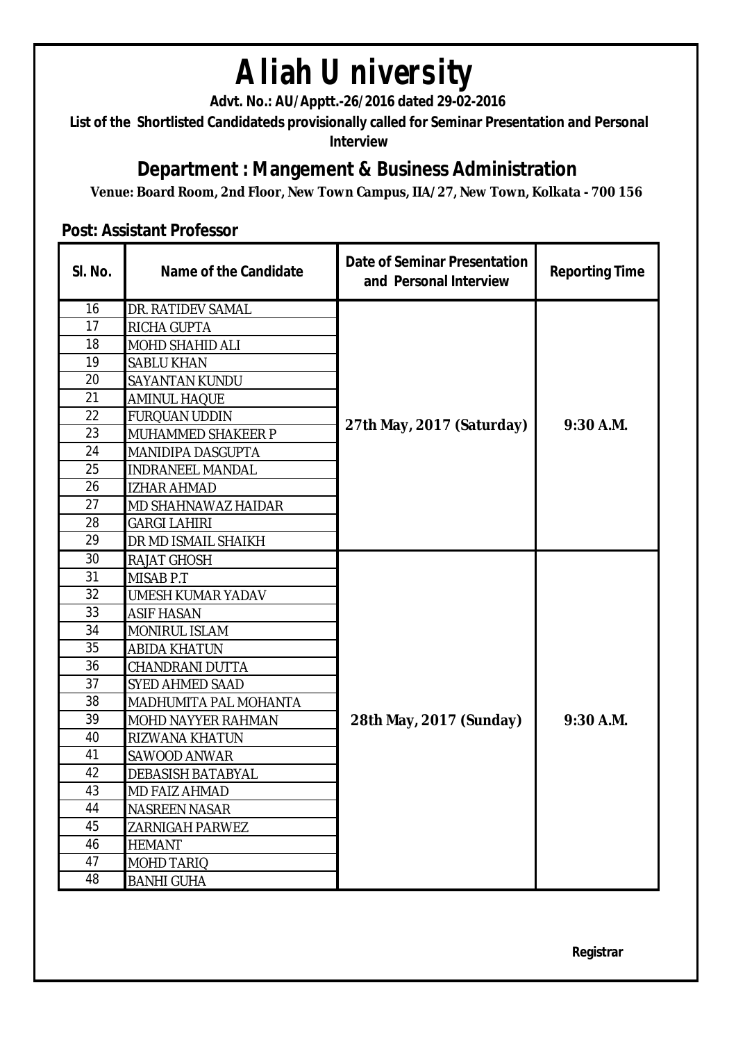## **Aliah University**

**Advt. No.: AU/Apptt.-26/2016 dated 29-02-2016** 

**List of the Shortlisted Candidateds provisionally called for Seminar Presentation and Personal Interview**

## **Department : Mangement & Business Administration**

**Venue: Board Room, 2nd Floor, New Town Campus, IIA/27, New Town, Kolkata - 700 156**

#### **Post: Assistant Professor**

| SI. No. | <b>Name of the Candidate</b> | <b>Date of Seminar Presentation</b><br>and Personal Interview | <b>Reporting Time</b> |
|---------|------------------------------|---------------------------------------------------------------|-----------------------|
| 16      | DR. RATIDEV SAMAL            |                                                               | $9:30$ A.M.           |
| 17      | RICHA GUPTA                  |                                                               |                       |
| 18      | MOHD SHAHID ALI              |                                                               |                       |
| 19      | SABLU KHAN                   |                                                               |                       |
| 20      | SAYANTAN KUNDU               |                                                               |                       |
| 21      | <b>AMINUL HAQUE</b>          |                                                               |                       |
| 22      | <b>FURQUAN UDDIN</b>         | 27th May, 2017 (Saturday)                                     |                       |
| 23      | MUHAMMED SHAKEER P           |                                                               |                       |
| 24      | MANIDIPA DASGUPTA            |                                                               |                       |
| 25      | <b>INDRANEEL MANDAL</b>      |                                                               |                       |
| 26      | <b>IZHAR AHMAD</b>           |                                                               |                       |
| 27      | MD SHAHNAWAZ HAIDAR          |                                                               |                       |
| 28      | <b>GARGI LAHIRI</b>          |                                                               |                       |
| 29      | DR MD ISMAIL SHAIKH          |                                                               |                       |
| 30      | RAJAT GHOSH                  |                                                               |                       |
| 31      | MISAB P.T                    |                                                               | $9:30$ A.M.           |
| 32      | UMESH KUMAR YADAV            |                                                               |                       |
| 33      | <b>ASIF HASAN</b>            |                                                               |                       |
| 34      | <b>MONIRUL ISLAM</b>         |                                                               |                       |
| 35      | <b>ABIDA KHATUN</b>          |                                                               |                       |
| 36      | CHANDRANI DUTTA              |                                                               |                       |
| 37      | SYED AHMED SAAD              |                                                               |                       |
| 38      | MADHUMITA PAL MOHANTA        |                                                               |                       |
| 39      | MOHD NAYYER RAHMAN           | 28th May, 2017 (Sunday)                                       |                       |
| 40      | RIZWANA KHATUN               |                                                               |                       |
| 41      | SAWOOD ANWAR                 |                                                               |                       |
| 42      | DEBASISH BATABYAL            |                                                               |                       |
| 43      | MD FAIZ AHMAD                |                                                               |                       |
| 44      | <b>NASREEN NASAR</b>         |                                                               |                       |
| 45      | ZARNIGAH PARWEZ              |                                                               |                       |
| 46      | <b>HEMANT</b>                |                                                               |                       |
| 47      | MOHD TARIQ                   |                                                               |                       |
| 48      | <b>BANHI GUHA</b>            |                                                               |                       |

**Registrar**